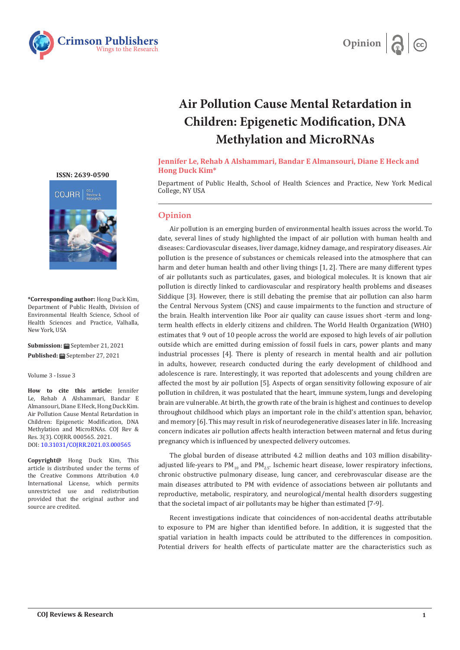



## **Air Pollution Cause Mental Retardation in Children: Epigenetic Modification, DNA Methylation and MicroRNAs**

## **Jennifer Le, Rehab A Alshammari, Bandar E Almansouri, Diane E Heck and Hong Duck Kim\***

Department of Public Health, School of Health Sciences and Practice, New York Medical College, NY USA

## **Opinion**

Air pollution is an emerging burden of environmental health issues across the world. To date, several lines of study highlighted the impact of air pollution with human health and diseases: Cardiovascular diseases, liver damage, kidney damage, and respiratory diseases. Air pollution is the presence of substances or chemicals released into the atmosphere that can harm and deter human health and other living things [1, 2]. There are many different types of air pollutants such as particulates, gases, and biological molecules. It is known that air pollution is directly linked to cardiovascular and respiratory health problems and diseases Siddique [3]. However, there is still debating the premise that air pollution can also harm the Central Nervous System (CNS) and cause impairments to the function and structure of the brain. Health intervention like Poor air quality can cause issues short -term and longterm health effects in elderly citizens and children. The World Health Organization (WHO) estimates that 9 out of 10 people across the world are exposed to high levels of air pollution outside which are emitted during emission of fossil fuels in cars, power plants and many industrial processes [4]. There is plenty of research in mental health and air pollution in adults, however, research conducted during the early development of childhood and adolescence is rare. Interestingly, it was reported that adolescents and young children are affected the most by air pollution [5]. Aspects of organ sensitivity following exposure of air pollution in children, it was postulated that the heart, immune system, lungs and developing brain are vulnerable. At birth, the growth rate of the brain is highest and continues to develop throughout childhood which plays an important role in the child's attention span, behavior, and memory [6]. This may result in risk of neurodegenerative diseases later in life. Increasing concern indicates air pollution affects health interaction between maternal and fetus during pregnancy which is influenced by unexpected delivery outcomes.

The global burden of disease attributed 4.2 million deaths and 103 million disabilityadjusted life-years to  $PM_{10}$  and  $PM_{25}$ . Ischemic heart disease, lower respiratory infections, chronic obstructive pulmonary disease, lung cancer, and cerebrovascular disease are the main diseases attributed to PM with evidence of associations between air pollutants and reproductive, metabolic, respiratory, and neurological/mental health disorders suggesting that the societal impact of air pollutants may be higher than estimated [7-9].

Recent investigations indicate that coincidences of non-accidental deaths attributable to exposure to PM are higher than identified before. In addition, it is suggested that the spatial variation in health impacts could be attributed to the differences in composition. Potential drivers for health effects of particulate matter are the characteristics such as

**[ISSN: 2639-0590](https://www.crimsonpublishers.com/cojrr/)**



**\*Corresponding author:** Hong Duck Kim, Department of Public Health, Division of Environmental Health Science, School of Health Sciences and Practice, Valhalla, New York, USA

Submission: **H** September 21, 2021 **Published:** September 27, 2021

Volume 3 - Issue 3

**How to cite this article:** Jennifer Le, Rehab A Alshammari, Bandar E Almansouri, Diane E Heck, Hong Duck Kim. Air Pollution Cause Mental Retardation in Children: Epigenetic Modification, DNA Methylation and MicroRNAs. COJ Rev & Res. 3(3). COJRR. 000565. 2021. DOI: [10.31031/COJRR.2021.03.000565](http://dx.doi.org/10.31031/COJRR.2021.03.000565)

**Copyright@** Hong Duck Kim, This article is distributed under the terms of the Creative Commons Attribution 4.0 International License, which permits unrestricted use and redistribution provided that the original author and source are credited.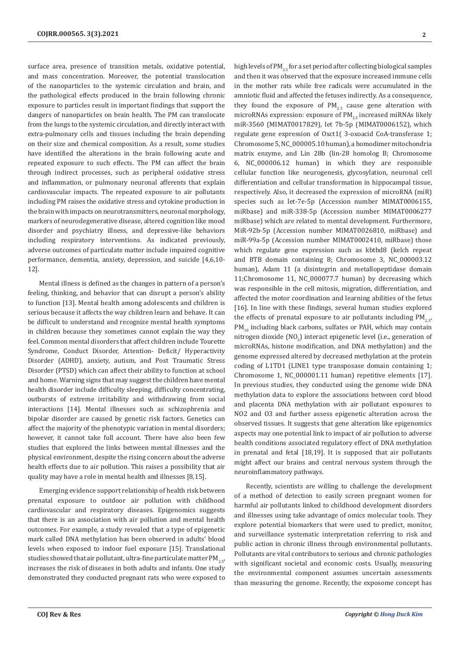surface area, presence of transition metals, oxidative potential, and mass concentration. Moreover, the potential translocation of the nanoparticles to the systemic circulation and brain, and the pathological effects produced in the brain following chronic exposure to particles result in important findings that support the dangers of nanoparticles on brain health. The PM can translocate from the lungs to the systemic circulation, and directly interact with extra-pulmonary cells and tissues including the brain depending on their size and chemical composition. As a result, some studies have identified the alterations in the brain following acute and repeated exposure to such effects. The PM can affect the brain through indirect processes, such as peripheral oxidative stress and inflammation, or pulmonary neuronal afferents that explain cardiovascular impacts. The repeated exposure to air pollutants including PM raises the oxidative stress and cytokine production in the brain with impacts on neurotransmitters, neuronal morphology, markers of neurodegenerative disease, altered cognition like mood disorder and psychiatry illness, and depressive-like behaviors including respiratory interventions. As indicated previously, adverse outcomes of particulate matter include impaired cognitive performance, dementia, anxiety, depression, and suicide [4,6,10- 12].

Mental illness is defined as the changes in pattern of a person's feeling, thinking, and behavior that can disrupt a person's ability to function [13]. Mental health among adolescents and children is serious because it affects the way children learn and behave. It can be difficult to understand and recognize mental health symptoms in children because they sometimes cannot explain the way they feel. Common mental disorders that affect children include Tourette Syndrome, Conduct Disorder, Attention- Deficit/ Hyperactivity Disorder (ADHD), anxiety, autism, and Post Traumatic Stress Disorder (PTSD) which can affect their ability to function at school and home. Warning signs that may suggest the children have mental health disorder include difficulty sleeping, difficulty concentrating, outbursts of extreme irritability and withdrawing from social interactions [14]. Mental illnesses such as schizophrenia and bipolar disorder are caused by genetic risk factors. Genetics can affect the majority of the phenotypic variation in mental disorders; however, it cannot take full account. There have also been few studies that explored the links between mental illnesses and the physical environment, despite the rising concern about the adverse health effects due to air pollution. This raises a possibility that air quality may have a role in mental health and illnesses [8,15].

Emerging evidence support relationship of health risk between prenatal exposure to outdoor air pollution with childhood cardiovascular and respiratory diseases. Epigenomics suggests that there is an association with air pollution and mental health outcomes. For example, a study revealed that a type of epigenetic mark called DNA methylation has been observed in adults' blood levels when exposed to indoor fuel exposure [15]. Translational studies showed that air pollutant, ultra-fine particulate matter  $PM$ <sub>25</sub>, increases the risk of diseases in both adults and infants. One study demonstrated they conducted pregnant rats who were exposed to

high levels of PM<sub>25</sub> for a set period after collecting biological samples and then it was observed that the exposure increased immune cells in the mother rats while free radicals were accumulated in the amniotic fluid and affected the fetuses indirectly. As a consequence, they found the exposure of  $PM_{2.5}$  cause gene alteration with microRNAs expression: exposure of  $PM_{2r}$  increased miRNAs likely miR-3560 (MIMAT0017829), let 7b-5p (MIMAT0006152), which regulate gene expression of Oxct1( 3-oxoacid CoA-transferase 1; Chromosome 5, NC\_000005.10 human), a homodimer mitochondria matrix enzyme, and Lin 28b (lin-28 homolog B; Chromosome 6, NC\_000006.12 human) in which they are responsible cellular function like neurogenesis, glycosylation, neuronal cell differentiation and cellular transformation in hippocampal tissue, respectively. Also, it decreased the expression of microRNA (miR) species such as let-7e-5p (Accession number MIMAT0006155, miRbase) and miR-338-5p (Accession number MIMAT0006277 miRbase) which are related to mental development. Furthermore, MiR-92b-5p (Accession number MIMAT0026810, miRbase) and miR-99a-5p (Accession number MIMAT0002410, miRbase) those which regulate gene expression such as kbtbd8 (kelch repeat and BTB domain containing 8; Chromosome 3, NC\_000003.12 human), Adam 11 (a disintegrin and metallopeptidase domain 11;Chromosome 11, NC\_000077.7 human) by decreasing which was responsible in the cell mitosis, migration, differentiation, and affected the motor coordination and learning abilities of the fetus [16]. In line with these findings, several human studies explored the effects of prenatal exposure to air pollutants including  $PM_{25}$ ,  $PM_{10}$  including black carbons, sulfates or PAH, which may contain nitrogen dioxide  $\text{(NO}_2\text{)}$  interact epigenetic level (i.e., generation of microRNAs, histone modification, and DNA methylation) and the genome expressed altered by decreased methylation at the protein coding of L1TD1 (LINE1 type transposase domain containing 1; Chromosome 1, NC\_000001.11 human) repetitive elements [17]. In previous studies, they conducted using the genome wide DNA methylation data to explore the associations between cord blood and placenta DNA methylation with air pollutant exposures to NO2 and O3 and further assess epigenetic alteration across the observed tissues. It suggests that gene alteration like epigenomics aspects may one potential link to impact of air pollution to adverse health conditions associated regulatory effect of DNA methylation in prenatal and fetal [18,19]. It is supposed that air pollutants might affect our brains and central nervous system through the neuroinflammatory pathways.

Recently, scientists are willing to challenge the development of a method of detection to easily screen pregnant women for harmful air pollutants linked to childhood development disorders and illnesses using take advantage of omics molecular tools. They explore potential biomarkers that were used to predict, monitor, and surveillance systematic interpretation referring to risk and public action in chronic illness through environmental pollutants. Pollutants are vital contributors to serious and chronic pathologies with significant societal and economic costs. Usually, measuring the environmental component assumes uncertain assessments than measuring the genome. Recently, the exposome concept has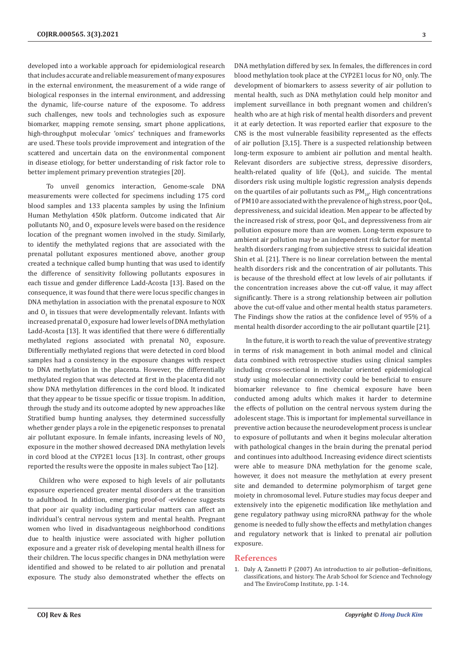developed into a workable approach for epidemiological research that includes accurate and reliable measurement of many exposures in the external environment, the measurement of a wide range of biological responses in the internal environment, and addressing the dynamic, life-course nature of the exposome. To address such challenges, new tools and technologies such as exposure biomarker, mapping remote sensing, smart phone applications, high-throughput molecular 'omics' techniques and frameworks are used. These tools provide improvement and integration of the scattered and uncertain data on the environmental component in disease etiology, for better understanding of risk factor role to better implement primary prevention strategies [20].

 To unveil genomics interaction, Genome-scale DNA measurements were collected for specimens including 175 cord blood samples and 133 placenta samples by using the Infinium Human Methylation 450k platform. Outcome indicated that Air pollutants NO<sub>2</sub> and O<sub>3</sub> exposure levels were based on the residence location of the pregnant women involved in the study. Similarly, to identify the methylated regions that are associated with the prenatal pollutant exposures mentioned above, another group created a technique called bump hunting that was used to identify the difference of sensitivity following pollutants exposures in each tissue and gender difference Ladd-Acosta [13]. Based on the consequence, it was found that there were locus specific changes in DNA methylation in association with the prenatal exposure to NOX and  $\overline{O}_3$  in tissues that were developmentally relevant. Infants with increased prenatal  $O_3$  exposure had lower levels of DNA methylation Ladd-Acosta [13]. It was identified that there were 6 differentially methylated regions associated with prenatal  $\mathsf{NO}_{2}$  exposure. Differentially methylated regions that were detected in cord blood samples had a consistency in the exposure changes with respect to DNA methylation in the placenta. However, the differentially methylated region that was detected at first in the placenta did not show DNA methylation differences in the cord blood. It indicated that they appear to be tissue specific or tissue tropism. In addition, through the study and its outcome adopted by new approaches like Stratified bump hunting analyses, they determined successfully whether gender plays a role in the epigenetic responses to prenatal air pollutant exposure. In female infants, increasing levels of  $NO<sub>2</sub>$ exposure in the mother showed decreased DNA methylation levels in cord blood at the CYP2E1 locus [13]. In contrast, other groups reported the results were the opposite in males subject Tao [12].

Children who were exposed to high levels of air pollutants exposure experienced greater mental disorders at the transition to adulthood. In addition, emerging proof-of -evidence suggests that poor air quality including particular matters can affect an individual's central nervous system and mental health. Pregnant women who lived in disadvantageous neighborhood conditions due to health injustice were associated with higher pollution exposure and a greater risk of developing mental health illness for their children. The locus specific changes in DNA methylation were identified and showed to be related to air pollution and prenatal exposure. The study also demonstrated whether the effects on

DNA methylation differed by sex. In females, the differences in cord blood methylation took place at the CYP2E1 locus for  $\mathsf{NO}_2$  only. The development of biomarkers to assess severity of air pollution to mental health, such as DNA methylation could help monitor and implement surveillance in both pregnant women and children's health who are at high risk of mental health disorders and prevent it at early detection. It was reported earlier that exposure to the CNS is the most vulnerable feasibility represented as the effects of air pollution [3,15]. There is a suspected relationship between long-term exposure to ambient air pollution and mental health. Relevant disorders are subjective stress, depressive disorders, health-related quality of life (QoL), and suicide. The mental disorders risk using multiple logistic regression analysis depends on the quartiles of air pollutants such as  $PM_{10}$ . High concentrations of PM10 are associated with the prevalence of high stress, poor QoL, depressiveness, and suicidal ideation. Men appear to be affected by the increased risk of stress, poor QoL, and depressiveness from air pollution exposure more than are women. Long-term exposure to ambient air pollution may be an independent risk factor for mental health disorders ranging from subjective stress to suicidal ideation Shin et al. [21]. There is no linear correlation between the mental health disorders risk and the concentration of air pollutants. This is because of the threshold effect at low levels of air pollutants. if the concentration increases above the cut-off value, it may affect significantly. There is a strong relationship between air pollution above the cut-off value and other mental health status parameters. The Findings show the ratios at the confidence level of 95% of a mental health disorder according to the air pollutant quartile [21].

In the future, it is worth to reach the value of preventive strategy in terms of risk management in both animal model and clinical data combined with retrospective studies using clinical samples including cross-sectional in molecular oriented epidemiological study using molecular connectivity could be beneficial to ensure biomarker relevance to fine chemical exposure have been conducted among adults which makes it harder to determine the effects of pollution on the central nervous system during the adolescent stage. This is important for implemental surveillance in preventive action because the neurodevelopment process is unclear to exposure of pollutants and when it begins molecular alteration with pathological changes in the brain during the prenatal period and continues into adulthood. Increasing evidence direct scientists were able to measure DNA methylation for the genome scale, however, it does not measure the methylation at every present site and demanded to determine polymorphism of target gene moiety in chromosomal level. Future studies may focus deeper and extensively into the epigenetic modification like methylation and gene regulatory pathway using microRNA pathway for the whole genome is needed to fully show the effects and methylation changes and regulatory network that is linked to prenatal air pollution exposure.

## **References**

1. [Daly A, Zannetti P \(2007\) An introduction to air pollution–definitions,](https://www.nile-center.com/uploads/RQZG7BCW4DGXNSZ.pdf) [classifications, and history. The Arab School for Science and Technology](https://www.nile-center.com/uploads/RQZG7BCW4DGXNSZ.pdf) [and The EnviroComp Institute, pp. 1-14.](https://www.nile-center.com/uploads/RQZG7BCW4DGXNSZ.pdf)